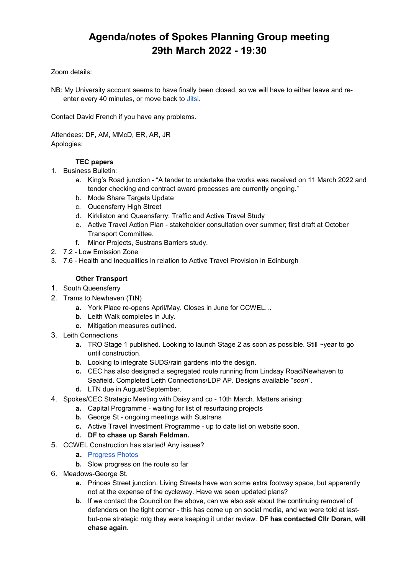# **Agenda/notes of Spokes Planning Group meeting 29th March 2022 - 19:30**

### Zoom details:

NB: My University account seems to have finally been closed, so we will have to either leave and reenter every 40 minutes, or move back to *Jitsi*.

Contact David French if you have any problems.

Attendees: DF, AM, MMcD, ER, AR, JR Apologies:

### **TEC papers**

- 1. Business Bulletin:
	- a. King's Road junction "A tender to undertake the works was received on 11 March 2022 and tender checking and contract award processes are currently ongoing."
	- b. Mode Share Targets Update
	- c. Queensferry High Street
	- d. Kirkliston and Queensferry: Traffic and Active Travel Study
	- e. Active Travel Action Plan stakeholder consultation over summer; first draft at October Transport Committee.
	- f. Minor Projects, Sustrans Barriers study.
- 2. 7.2 Low Emission Zone
- 3. 7.6 Health and Inequalities in relation to Active Travel Provision in Edinburgh

### **Other Transport**

- 1. South Queensferry
- 2. Trams to Newhaven (TtN)
	- **a.** York Place re-opens April/May. Closes in June for CCWEL…
	- **b.** Leith Walk completes in July.
	- **c.** Mitigation measures outlined.
- 3. Leith Connections
	- **a.** TRO Stage 1 published. Looking to launch Stage 2 as soon as possible. Still ~year to go until construction.
	- **b.** Looking to integrate SUDS/rain gardens into the design.
	- **c.** CEC has also designed a segregated route running from Lindsay Road/Newhaven to Seafield. Completed Leith Connections/LDP AP. Designs available "*soon*".
	- **d.** LTN due in August/September.
- 4. Spokes/CEC Strategic Meeting with Daisy and co 10th March. Matters arising:
	- **a.** Capital Programme waiting for list of resurfacing projects
	- **b.** George St ongoing meetings with Sustrans
	- **c.** Active Travel Investment Programme up to date list on website soon.
	- **d. DF to chase up Sarah Feldman.**
- 5. CCWEL Construction has started! Any issues?
	- **a.** [Progress Photos](https://drive.google.com/drive/u/0/folders/1oHv8PdvRbukf7j4_QjV8ckov9H-GI2Rw)
	- **b.** Slow progress on the route so far
- 6. Meadows-George St.
	- **a.** Princes Street junction. Living Streets have won some extra footway space, but apparently not at the expense of the cycleway. Have we seen updated plans?
	- **b.** If we contact the Council on the above, can we also ask about the continuing removal of defenders on the tight corner - this has come up on social media, and we were told at lastbut-one strategic mtg they were keeping it under review. **DF has contacted Cllr Doran, will chase again.**